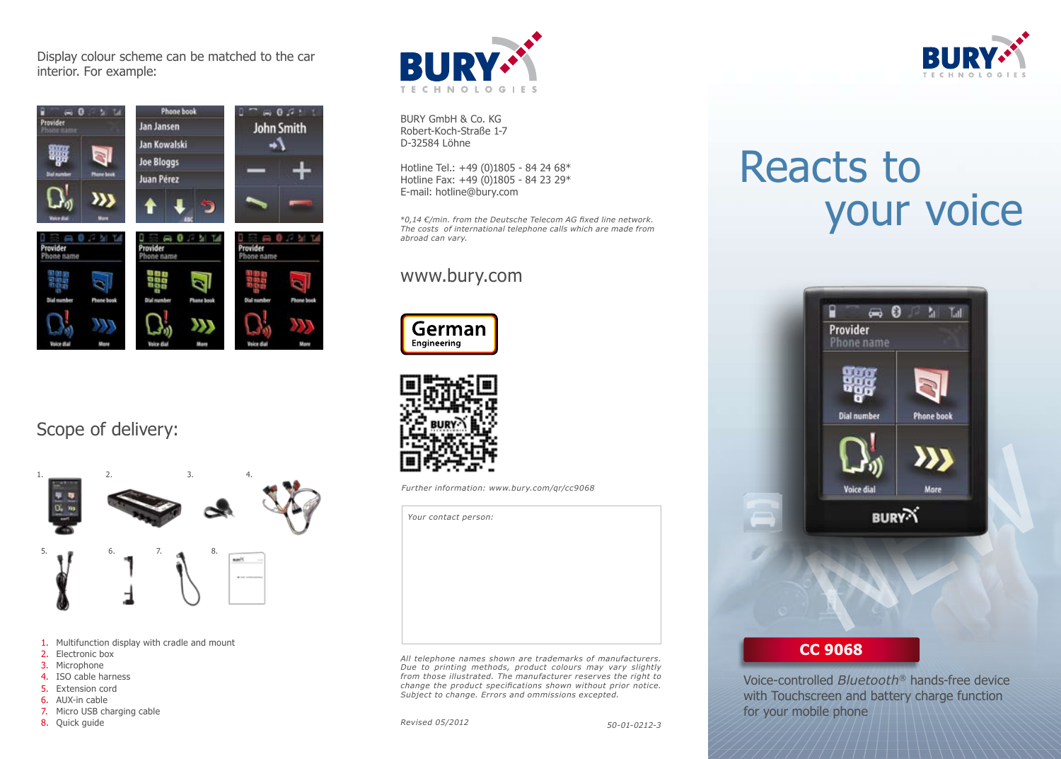Display colour scheme can be matched to the car interior. For example:



Scope of delivery:



- 1. Multifunction display with cradle and mount
- 2. Electronic box
- 3. Microphone
- 4. ISO cable harness
- 5. Extension cord
- 6. AUX-in cable
- 7. Micro USB charging cable
- 8. Quick guide



BURY GmbH & Co. KG Robert-Koch-Straße 1-7 D-32584 Löhne

Hotline Tel.: +49 (0)1805 - 84 24 68\* Hotline Fax: +49 (0)1805 - 84 23 29\* E-mail: hotline@bury.com

\**0,14 €/min. from the Deutsche Telecom AG fixed line network. The costs of international telephone calls which are made from abroad can vary.* 

#### www.bury.com





*Your contact person:*

*Further information: www.bury.com/qr/cc9068*

*All telephone names shown are trademarks of manufacturers. Due to printing methods, product colours may vary slightly from those illustrated. The manufacturer reserves the right to change the product specifications shown without prior notice. Subject to change. Errors and ommissions excepted.*

*Revised 05/2012*



## Reacts to your voice



#### **CC 9068**

Voice-controlled *Bluetooth®* hands-free device with Touchscreen and battery charge function for your mobile phone